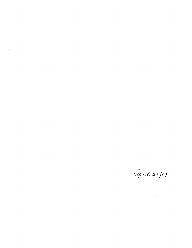$\label{eq:2.1} \frac{1}{\sqrt{2}}\int_{\mathbb{R}^3}\frac{1}{\sqrt{2}}\left(\frac{1}{\sqrt{2}}\right)^2\frac{1}{\sqrt{2}}\left(\frac{1}{\sqrt{2}}\right)^2\frac{1}{\sqrt{2}}\left(\frac{1}{\sqrt{2}}\right)^2\frac{1}{\sqrt{2}}\left(\frac{1}{\sqrt{2}}\right)^2.$ 

 $\label{eq:2.1} \frac{d\mathbf{r}}{d\mathbf{r}} = \frac{1}{2} \mathbf{r} \left[ \frac{d\mathbf{r}}{d\mathbf{r}} \right] \mathbf{r} \left[ \frac{d\mathbf{r}}{d\mathbf{r}} \right] \mathbf{r}$ 

 $\mathcal{O}(\mathcal{O}(\log n))$ 

 $\label{eq:2.1} \begin{split} \mathcal{L}_{\text{max}}(\mathbf{r}) & = \mathcal{L}_{\text{max}}(\mathbf{r}) \mathcal{L}_{\text{max}}(\mathbf{r}) \mathcal{L}_{\text{max}}(\mathbf{r}) \\ & = \mathcal{L}_{\text{max}}(\mathbf{r}) \mathcal{L}_{\text{max}}(\mathbf{r}) \mathcal{L}_{\text{max}}(\mathbf{r}) \mathcal{L}_{\text{max}}(\mathbf{r}) \mathcal{L}_{\text{max}}(\mathbf{r}) \mathcal{L}_{\text{max}}(\mathbf{r}) \mathcal{L}_{\text{max}}(\mathbf{r}) \mathcal{L}_{\text{max}}(\mathbf$ 

 $\label{eq:2.1} \frac{1}{\sqrt{2}}\int_{\mathbb{R}^3}\frac{1}{\sqrt{2}}\left(\frac{1}{\sqrt{2}}\right)^2\frac{1}{\sqrt{2}}\left(\frac{1}{\sqrt{2}}\right)^2\frac{1}{\sqrt{2}}\left(\frac{1}{\sqrt{2}}\right)^2.$ 

April 27/87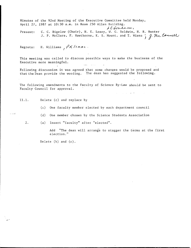Minutes of the 92nd Meeting of the Executive Committee held Monday, April 27, 1987 at 10:30 a.m. in Room 250 Allen Building.

LCGraham, Present: C. C. Bigelow (Chair), N. E. Losey, W. C. Baldwin, N. R. Hunter J. P. McClure, F. Hawthorne, K. S. Mount, and T. Wiens  $\int g \, m e \,$  Connell

Regrets: H. Williams,  $\beta$ K /s $A$ - $A$ .

This meeting was called to discuss possible ways to make the business of the Executive more meaningful.

Following discussion it was agreed that some changes would be proposed and that the Dean provide the wording. The dean has suggested the following.

The following amendments to the Faculty of Science By-Law should be sent to Faculty Council for approval.

11.1. Delete (c) and replace by

(c) One faculty member elected by each department council

(d) One member chosen by the Science Students Association

فسالما للم

2. (a) Insert "faculty" after "elected"

Add "The dean will arrange to stagger the terms at the first election."

 $\alpha_{\rm eff} = \alpha_{\rm eff}$  ,  $\alpha_{\rm eff} = \Delta \beta_{\rm eff}$ 

Delete (b) and (c).